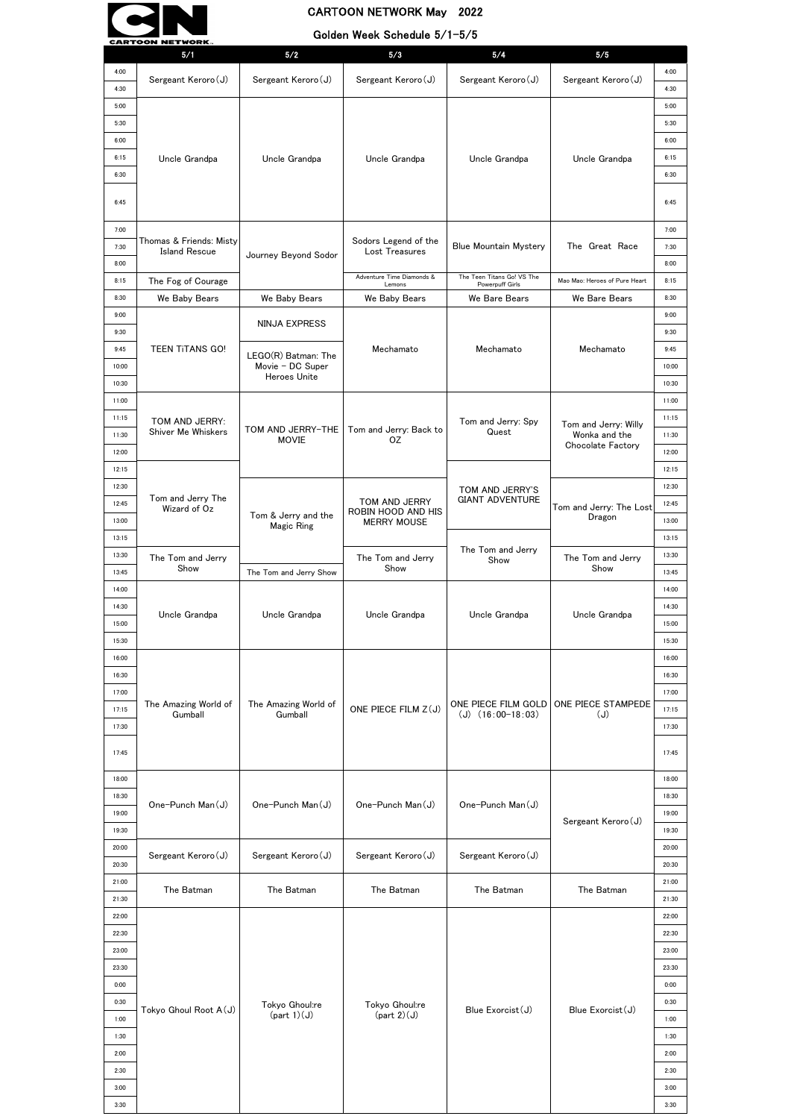|       | <b>CARTOON NETWORK.</b>           |                                   | Golden Meek Ocheddie 97 i 979       |                                               |                                       |       |
|-------|-----------------------------------|-----------------------------------|-------------------------------------|-----------------------------------------------|---------------------------------------|-------|
|       | 5/1                               | 5/2                               | 5/3                                 | 5/4                                           | 5/5                                   |       |
| 4:00  | Sergeant Keroro (J)               | Sergeant Keroro (J)               | Sergeant Keroro (J)                 | Sergeant Keroro (J)                           | Sergeant Keroro (J)                   | 4:00  |
| 4:30  |                                   |                                   |                                     |                                               |                                       | 4:30  |
| 5:00  |                                   |                                   |                                     |                                               |                                       | 5:00  |
| 5:30  |                                   |                                   |                                     |                                               |                                       | 5:30  |
| 6:00  |                                   |                                   |                                     |                                               |                                       | 6:00  |
| 6:15  |                                   |                                   |                                     |                                               |                                       | 6:15  |
|       | Uncle Grandpa                     | Uncle Grandpa                     | Uncle Grandpa                       | Uncle Grandpa                                 | Uncle Grandpa                         |       |
| 6:30  |                                   |                                   |                                     |                                               |                                       | 6:30  |
|       |                                   |                                   |                                     |                                               |                                       |       |
| 6:45  |                                   |                                   |                                     |                                               |                                       | 6:45  |
| 7:00  |                                   |                                   |                                     |                                               |                                       | 7:00  |
|       | Thomas & Friends: Misty           |                                   | Sodors Legend of the                |                                               |                                       |       |
| 7:30  | <b>Island Rescue</b>              | Journey Beyond Sodor              | Lost Treasures                      | <b>Blue Mountain Mystery</b>                  | The Great Race                        | 7:30  |
| 8:00  |                                   |                                   |                                     |                                               |                                       | 8:00  |
| 8:15  | The Fog of Courage                |                                   | Adventure Time Diamonds &<br>Lemons | The Teen Titans Go! VS The<br>Powerpuff Girls | Mao Mao: Heroes of Pure Heart         | 8:15  |
| 8:30  | We Baby Bears                     | We Baby Bears                     | We Baby Bears                       | We Bare Bears                                 | We Bare Bears                         | 8:30  |
| 9:00  |                                   |                                   |                                     |                                               |                                       | 9:00  |
| 9:30  |                                   | <b>NINJA EXPRESS</b>              |                                     |                                               |                                       | 9:30  |
| 9:45  | <b>TEEN TITANS GO!</b>            |                                   | Mechamato                           | Mechamato                                     | Mechamato                             | 9:45  |
|       |                                   | LEGO(R) Batman: The               |                                     |                                               |                                       |       |
| 10:00 |                                   | Movie - DC Super<br>Heroes Unite  |                                     |                                               |                                       | 10:00 |
| 10:30 |                                   |                                   |                                     |                                               |                                       | 10:30 |
| 11:00 |                                   |                                   |                                     |                                               |                                       | 11:00 |
| 11:15 | TOM AND JERRY:                    |                                   |                                     | Tom and Jerry: Spy                            |                                       | 11:15 |
| 11:30 | Shiver Me Whiskers                | TOM AND JERRY-THE                 | Tom and Jerry: Back to              | Quest                                         | Tom and Jerry: Willy<br>Wonka and the | 11:30 |
| 12:00 |                                   | <b>MOVIE</b>                      | <b>OZ</b>                           |                                               | Chocolate Factory                     | 12:00 |
|       |                                   |                                   |                                     |                                               |                                       |       |
| 12:15 |                                   |                                   |                                     |                                               |                                       | 12:15 |
| 12:30 |                                   |                                   |                                     | TOM AND JERRY'S                               |                                       | 12:30 |
| 12:45 | Tom and Jerry The<br>Wizard of Oz |                                   | TOM AND JERRY<br>ROBIN HOOD AND HIS | <b>GIANT ADVENTURE</b>                        | Tom and Jerry: The Lost               | 12:45 |
| 13:00 |                                   | Tom & Jerry and the<br>Magic Ring | <b>MERRY MOUSE</b>                  |                                               | Dragon                                | 13:00 |
| 13:15 |                                   |                                   |                                     |                                               |                                       | 13:15 |
| 13:30 |                                   |                                   |                                     | The Tom and Jerry                             |                                       | 13:30 |
|       | The Tom and Jerry<br>Show         |                                   | The Tom and Jerry<br>Show           | Show                                          | The Tom and Jerry<br>Show             |       |
| 13:45 |                                   | The Tom and Jerry Show            |                                     |                                               |                                       | 13:45 |
| 14:00 |                                   |                                   |                                     |                                               |                                       | 14:00 |
| 14:30 | Uncle Grandpa                     | Uncle Grandpa                     | Uncle Grandpa                       | Uncle Grandpa                                 | Uncle Grandpa                         | 14:30 |
| 15:00 |                                   |                                   |                                     |                                               |                                       | 15:00 |
| 15:30 |                                   |                                   |                                     |                                               |                                       | 15:30 |
| 16:00 |                                   |                                   |                                     |                                               |                                       | 16:00 |
| 16:30 |                                   |                                   |                                     |                                               |                                       | 16:30 |
|       |                                   |                                   |                                     |                                               |                                       |       |
| 17:00 | The Amazing World of              | The Amazing World of              |                                     | ONE PIECE FILM GOLD                           | ONE PIECE STAMPEDE                    | 17:00 |
| 17:15 | Gumball                           | Gumball                           | ONE PIECE FILM Z(J)                 | $(J)$ $(16:00-18:03)$                         | (J)                                   | 17:15 |
| 17:30 |                                   |                                   |                                     |                                               |                                       | 17:30 |
|       |                                   |                                   |                                     |                                               |                                       |       |
| 17:45 |                                   |                                   |                                     |                                               |                                       | 17:45 |
|       |                                   |                                   |                                     |                                               |                                       |       |
| 18:00 |                                   |                                   |                                     |                                               |                                       | 18:00 |
| 18:30 | One-Punch Man(J)                  | One-Punch Man(J)                  | One-Punch Man(J)                    | One-Punch Man(J)                              |                                       | 18:30 |
| 19:00 |                                   |                                   |                                     |                                               | Sergeant Keroro (J)                   | 19:00 |
| 19:30 |                                   |                                   |                                     |                                               |                                       | 19:30 |
| 20:00 |                                   |                                   |                                     |                                               |                                       | 20:00 |
| 20:30 | Sergeant Keroro (J)               | Sergeant Keroro (J)               | Sergeant Keroro(J)                  | Sergeant Keroro (J)                           |                                       | 20:30 |
|       |                                   |                                   |                                     |                                               |                                       |       |
| 21:00 | The Batman                        | The Batman                        | The Batman                          | The Batman                                    | The Batman                            | 21:00 |
| 21:30 |                                   |                                   |                                     |                                               |                                       | 21:30 |
| 22:00 |                                   |                                   |                                     |                                               |                                       | 22:00 |
| 22:30 |                                   |                                   |                                     |                                               |                                       | 22:30 |
| 23:00 |                                   |                                   |                                     |                                               |                                       | 23:00 |
| 23:30 |                                   |                                   |                                     |                                               |                                       | 23:30 |
|       |                                   |                                   |                                     |                                               |                                       | 0:00  |
| 0:00  |                                   |                                   |                                     |                                               |                                       |       |
| 0:30  | Tokyo Ghoul Root A(J)             | Tokyo Ghoul:re                    | Tokyo Ghoul:re                      | Blue Exorcist(J)                              | Blue Exorcist(J)                      | 0:30  |
| 1:00  |                                   | part 1)(J)                        | $(\text{part } 2)(J)$               |                                               |                                       | 1:00  |
| 1:30  |                                   |                                   |                                     |                                               |                                       | 1:30  |
| 2:00  |                                   |                                   |                                     |                                               |                                       | 2:00  |
| 2:30  |                                   |                                   |                                     |                                               |                                       | 2:30  |
| 3:00  |                                   |                                   |                                     |                                               |                                       | 3:00  |
|       |                                   |                                   |                                     |                                               |                                       |       |
| 3:30  |                                   |                                   |                                     |                                               |                                       | 3:30  |



# CARTOON NETWORK May 2022

## Golden Week Schedule 5/1-5/5